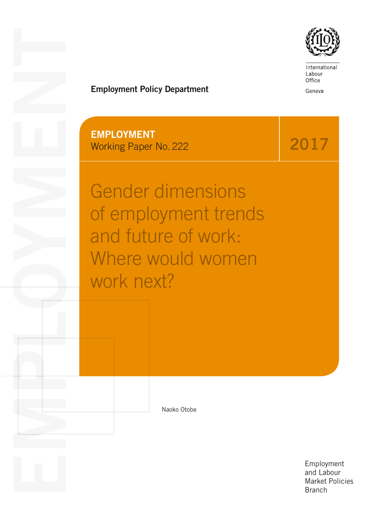

International Labour Office

Geneva

2017

# Employment Policy Department

EMPLOYMENT Working Paper No. 222

EMPLOYMENT CONTROL

Gender dimensions of employment trends and future of work: Where would women work next?

Naoko Otobe

Employment and Labour Market Policies **Branch**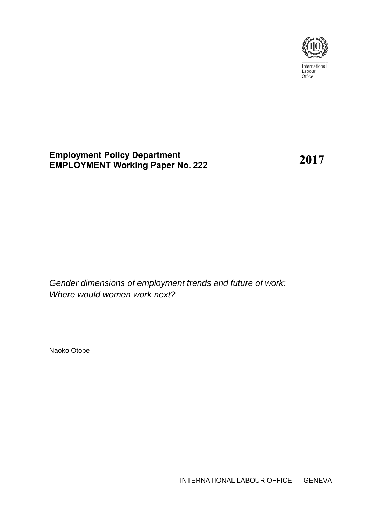

International Labour<br>Office

## **Employment Policy Department EMPLOYMENT Working Paper No. 222**

**2017**

*Gender dimensions of employment trends and future of work: Where would women work next?*

Naoko Otobe

INTERNATIONAL LABOUR OFFICE – GENEVA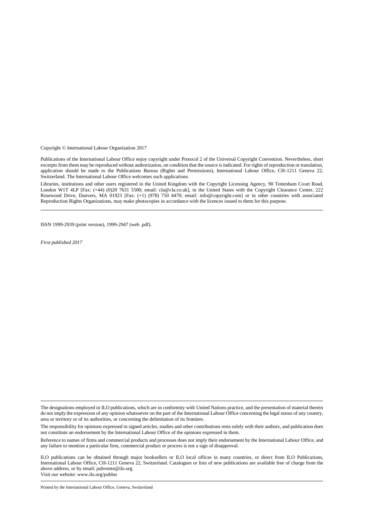Copyright © International Labour Organization 2017

Publications of the International Labour Office enjoy copyright under Protocol 2 of the Universal Copyright Convention. Nevertheless, short excerpts from them may be reproduced without authorization, on condition that the source is indicated. For rights of reproduction or translation, application should be made to the Publications Bureau (Rights and Permissions), International Labour Office, CH-1211 Geneva 22, Switzerland. The International Labour Office welcomes such applications.

Libraries, institutions and other users registered in the United Kingdom with the Copyright Licensing Agency, 90 Tottenham Court Road, London W1T 4LP [Fax: (+44) (0)20 7631 5500; email: cla@cla.co.uk], in the United States with the Copyright Clearance Center, 222 Rosewood Drive, Danvers, MA 01923 [Fax: (+1) (978) 750 4470; email: info@copyright.com] or in other countries with associated Reproduction Rights Organizations, may make photocopies in accordance with the licences issued to them for this purpose.

ISSN 1999-2939 (print version), 1999-2947 (web .pdf).

*First published 2017*

Printed by the International Labour Office, Geneva, Switzerland

The designations employed in ILO publications, which are in conformity with United Nations practice, and the presentation of material therein do not imply the expression of any opinion whatsoever on the part of the International Labour Office concerning the legal status of any country, area or territory or of its authorities, or concerning the delimitation of its frontiers.

The responsibility for opinions expressed in signed articles, studies and other contributions rests solely with their authors, and publication does not constitute an endorsement by the International Labour Office of the opinions expressed in them.

Reference to names of firms and commercial products and processes does not imply their endorsement by the International Labour Office, and any failure to mention a particular firm, commercial product or process is not a sign of disapproval.

ILO publications can be obtained through major booksellers or ILO local offices in many countries, or direct from ILO Publications, International Labour Office, CH-1211 Geneva 22, Switzerland. Catalogues or lists of new publications are available free of charge from the above address, or by email: pubvente@ilo.org Visit our website: www.ilo.org/publns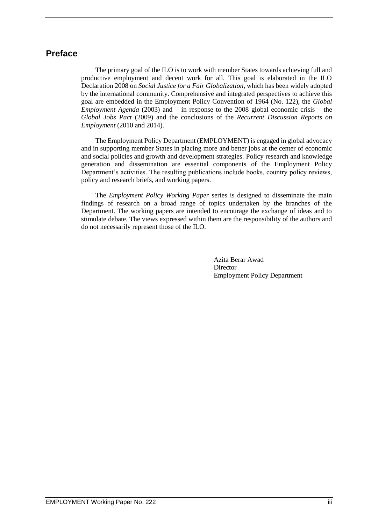### **Preface**

The primary goal of the ILO is to work with member States towards achieving full and productive employment and decent work for all. This goal is elaborated in the ILO Declaration 2008 on *Social Justice for a Fair Globalization*, which has been widely adopted by the international community. Comprehensive and integrated perspectives to achieve this goal are embedded in the Employment Policy Convention of 1964 (No. 122), the *Global Employment Agenda* (2003) and – in response to the 2008 global economic crisis – the *Global Jobs Pact* (2009) and the conclusions of the *Recurrent Discussion Reports on Employment* (2010 and 2014).

The Employment Policy Department (EMPLOYMENT) is engaged in global advocacy and in supporting member States in placing more and better jobs at the center of economic and social policies and growth and development strategies. Policy research and knowledge generation and dissemination are essential components of the Employment Policy Department's activities. The resulting publications include books, country policy reviews, policy and research briefs, and working papers.

The *Employment Policy Working Paper* series is designed to disseminate the main findings of research on a broad range of topics undertaken by the branches of the Department. The working papers are intended to encourage the exchange of ideas and to stimulate debate. The views expressed within them are the responsibility of the authors and do not necessarily represent those of the ILO.

> Azita Berar Awad Director Employment Policy Department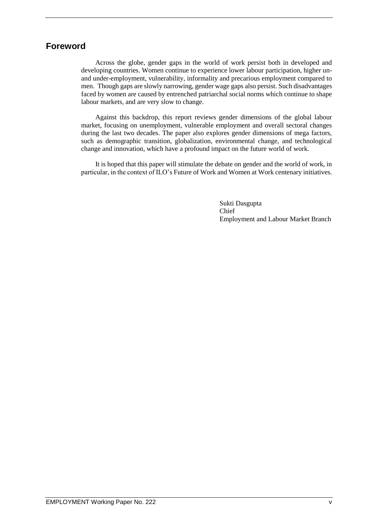# **Foreword**

Across the globe, gender gaps in the world of work persist both in developed and developing countries. Women continue to experience lower labour participation, higher unand under-employment, vulnerability, informality and precarious employment compared to men. Though gaps are slowly narrowing, gender wage gaps also persist. Such disadvantages faced by women are caused by entrenched patriarchal social norms which continue to shape labour markets, and are very slow to change.

Against this backdrop, this report reviews gender dimensions of the global labour market, focusing on unemployment, vulnerable employment and overall sectoral changes during the last two decades. The paper also explores gender dimensions of mega factors, such as demographic transition, globalization, environmental change, and technological change and innovation, which have a profound impact on the future world of work.

It is hoped that this paper will stimulate the debate on gender and the world of work, in particular, in the context of ILO's Future of Work and Women at Work centenary initiatives.

> Sukti Dasgupta Chief Employment and Labour Market Branch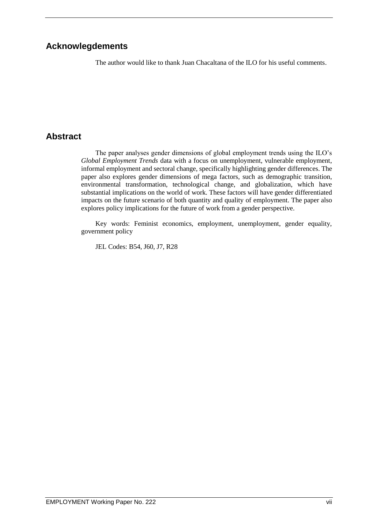## **Acknowlegdements**

The author would like to thank Juan Chacaltana of the ILO for his useful comments.

# **Abstract**

The paper analyses gender dimensions of global employment trends using the ILO's *Global Employment Trends* data with a focus on unemployment, vulnerable employment, informal employment and sectoral change, specifically highlighting gender differences. The paper also explores gender dimensions of mega factors, such as demographic transition, environmental transformation, technological change, and globalization, which have substantial implications on the world of work. These factors will have gender differentiated impacts on the future scenario of both quantity and quality of employment. The paper also explores policy implications for the future of work from a gender perspective.

Key words: Feminist economics, employment, unemployment, gender equality, government policy

JEL Codes: B54, J60, J7, R28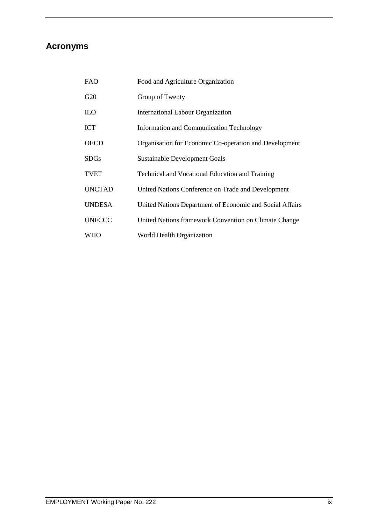# **Acronyms**

| <b>FAO</b>    | Food and Agriculture Organization                        |
|---------------|----------------------------------------------------------|
| G20           | Group of Twenty                                          |
| <b>ILO</b>    | International Labour Organization                        |
| ICT           | Information and Communication Technology                 |
| OECD          | Organisation for Economic Co-operation and Development   |
| <b>SDGs</b>   | <b>Sustainable Development Goals</b>                     |
| <b>TVET</b>   | <b>Technical and Vocational Education and Training</b>   |
| <b>UNCTAD</b> | United Nations Conference on Trade and Development       |
| <b>UNDESA</b> | United Nations Department of Economic and Social Affairs |
| <b>UNFCCC</b> | United Nations framework Convention on Climate Change    |
| WHO           | World Health Organization                                |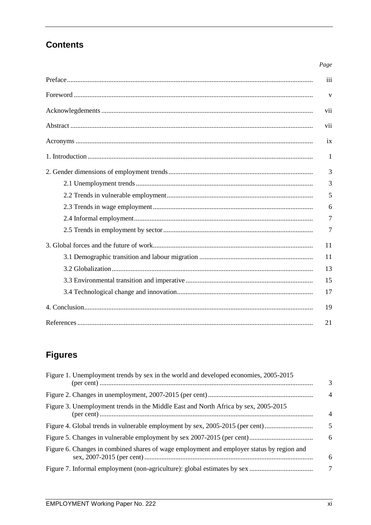# **Contents**

|  | 3  |  |
|--|----|--|
|  | 5  |  |
|  |    |  |
|  |    |  |
|  | 7  |  |
|  |    |  |
|  |    |  |
|  |    |  |
|  |    |  |
|  | 17 |  |
|  |    |  |
|  |    |  |

# **Figures**

| Figure 1. Unemployment trends by sex in the world and developed economies, 2005-2015      | 3              |
|-------------------------------------------------------------------------------------------|----------------|
|                                                                                           | $\overline{4}$ |
| Figure 3. Unemployment trends in the Middle East and North Africa by sex, 2005-2015       | $\overline{4}$ |
| Figure 4. Global trends in vulnerable employment by sex, 2005-2015 (per cent)             | 5              |
|                                                                                           | 6              |
| Figure 6. Changes in combined shares of wage employment and employer status by region and | 6              |
|                                                                                           | 7              |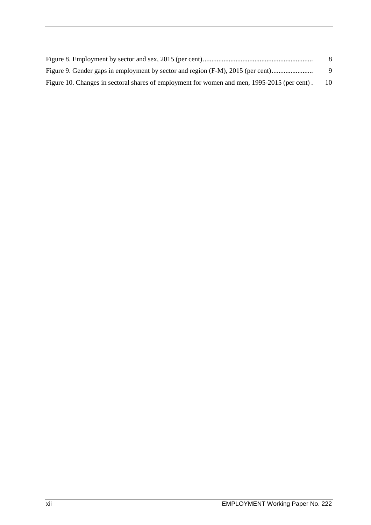|                                                                                              | -8       |
|----------------------------------------------------------------------------------------------|----------|
| Figure 9. Gender gaps in employment by sector and region (F-M), 2015 (per cent)              | <b>Q</b> |
| Figure 10. Changes in sectoral shares of employment for women and men, 1995-2015 (per cent). | 10       |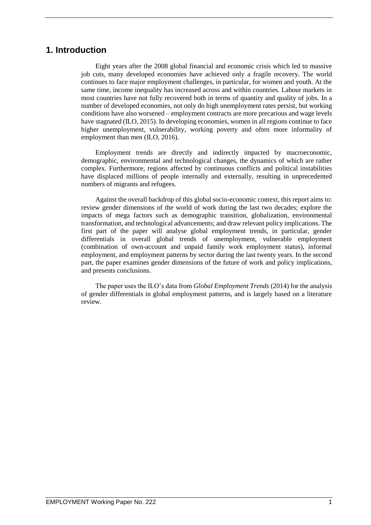### **1. Introduction**

Eight years after the 2008 global financial and economic crisis which led to massive job cuts, many developed economies have achieved only a fragile recovery. The world continues to face major employment challenges, in particular, for women and youth. At the same time, income inequality has increased across and within countries. Labour markets in most countries have not fully recovered both in terms of quantity and quality of jobs. In a number of developed economies, not only do high unemployment rates persist, but working conditions have also worsened – employment contracts are more precarious and wage levels have stagnated (ILO, 2015). In developing economies, women in all regions continue to face higher unemployment, vulnerability, working poverty and often more informality of employment than men (ILO, 2016).

Employment trends are directly and indirectly impacted by macroeconomic, demographic, environmental and technological changes, the dynamics of which are rather complex. Furthermore, regions affected by continuous conflicts and political instabilities have displaced millions of people internally and externally, resulting in unprecedented numbers of migrants and refugees.

Against the overall backdrop of this global socio-economic context, this report aims to: review gender dimensions of the world of work during the last two decades; explore the impacts of mega factors such as demographic transition, globalization, environmental transformation, and technological advancements; and draw relevant policy implications. The first part of the paper will analyse global employment trends, in particular, gender differentials in overall global trends of unemployment, vulnerable employment (combination of own-account and unpaid family work employment status), informal employment, and employment patterns by sector during the last twenty years. In the second part, the paper examines gender dimensions of the future of work and policy implications, and presents conclusions.

The paper uses the ILO's data from *Global Employment Trends* (2014) for the analysis of gender differentials in global employment patterns, and is largely based on a literature review.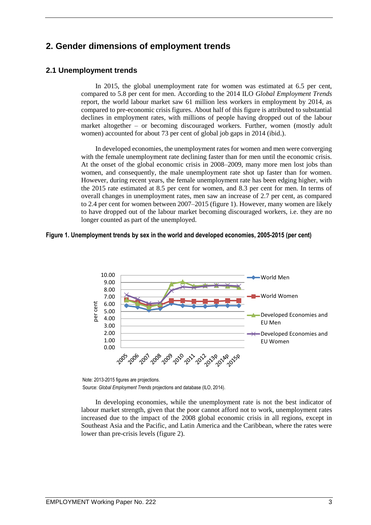## **2. Gender dimensions of employment trends**

### **2.1 Unemployment trends**

In 2015, the global unemployment rate for women was estimated at 6.5 per cent, compared to 5.8 per cent for men. According to the 2014 ILO *Global Employment Trends* report, the world labour market saw 61 million less workers in employment by 2014, as compared to pre-economic crisis figures. About half of this figure is attributed to substantial declines in employment rates, with millions of people having dropped out of the labour market altogether – or becoming discouraged workers. Further, women (mostly adult women) accounted for about 73 per cent of global job gaps in 2014 (ibid.).

In developed economies, the unemployment rates for women and men were converging with the female unemployment rate declining faster than for men until the economic crisis. At the onset of the global economic crisis in 2008–2009, many more men lost jobs than women, and consequently, the male unemployment rate shot up faster than for women. However, during recent years, the female unemployment rate has been edging higher, with the 2015 rate estimated at 8.5 per cent for women, and 8.3 per cent for men. In terms of overall changes in unemployment rates, men saw an increase of 2.7 per cent, as compared to 2.4 per cent for women between 2007–2015 (figure 1). However, many women are likely to have dropped out of the labour market becoming discouraged workers, i.e. they are no longer counted as part of the unemployed.

#### <span id="page-15-0"></span>**Figure 1. Unemployment trends by sex in the world and developed economies, 2005-2015 (per cent)**



Note: 2013-2015 figures are projections. Source: *Global Employment Trends* projections and database (ILO, 2014).

In developing economies, while the unemployment rate is not the best indicator of labour market strength, given that the poor cannot afford not to work, unemployment rates increased due to the impact of the 2008 global economic crisis in all regions, except in Southeast Asia and the Pacific, and Latin America and the Caribbean, where the rates were lower than pre-crisis levels (figure 2).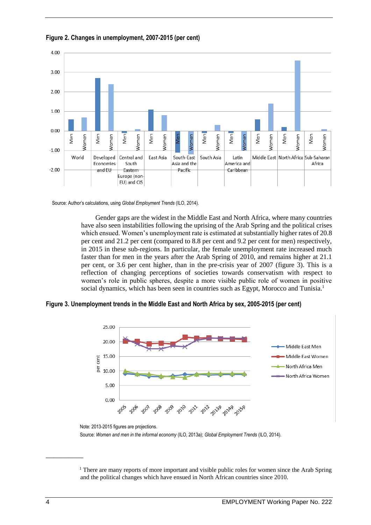

<span id="page-16-0"></span>**Figure 2. Changes in unemployment, 2007-2015 (per cent)**

Source: Author's calculations, using *Global Employment Trends* (ILO, 2014).

Gender gaps are the widest in the Middle East and North Africa, where many countries have also seen instabilities following the uprising of the Arab Spring and the political crises which ensued. Women's unemployment rate is estimated at substantially higher rates of 20.8 per cent and 21.2 per cent (compared to 8.8 per cent and 9.2 per cent for men) respectively, in 2015 in these sub-regions. In particular, the female unemployment rate increased much faster than for men in the years after the Arab Spring of 2010, and remains higher at 21.1 per cent, or 3.6 per cent higher, than in the pre-crisis year of 2007 (figure 3). This is a reflection of changing perceptions of societies towards conservatism with respect to women's role in public spheres, despite a more visible public role of women in positive social dynamics, which has been seen in countries such as Egypt, Morocco and Tunisia.<sup>1</sup>

<span id="page-16-1"></span>**Figure 3. Unemployment trends in the Middle East and North Africa by sex, 2005-2015 (per cent)**



Note: 2013-2015 figures are projections. Source: *Women and men in the informal economy* (ILO, 2013a); *Global Employment Trends* (ILO, 2014).

 $\overline{\phantom{a}}$ 

<sup>&</sup>lt;sup>1</sup> There are many reports of more important and visible public roles for women since the Arab Spring and the political changes which have ensued in North African countries since 2010.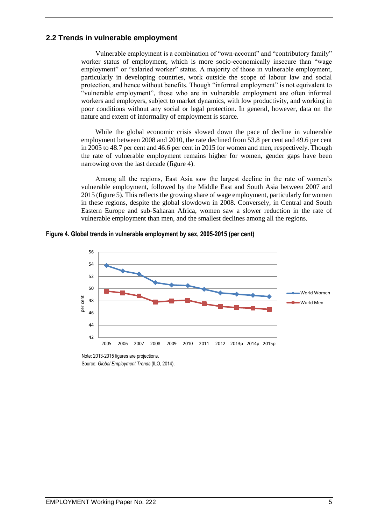### **2.2 Trends in vulnerable employment**

Vulnerable employment is a combination of "own-account" and "contributory family" worker status of employment, which is more socio-economically insecure than "wage employment" or "salaried worker" status. A majority of those in vulnerable employment, particularly in developing countries, work outside the scope of labour law and social protection, and hence without benefits. Though "informal employment" is not equivalent to "vulnerable employment", those who are in vulnerable employment are often informal workers and employers, subject to market dynamics, with low productivity, and working in poor conditions without any social or legal protection. In general, however, data on the nature and extent of informality of employment is scarce.

While the global economic crisis slowed down the pace of decline in vulnerable employment between 2008 and 2010, the rate declined from 53.8 per cent and 49.6 per cent in 2005 to 48.7 per cent and 46.6 per cent in 2015 for women and men, respectively. Though the rate of vulnerable employment remains higher for women, gender gaps have been narrowing over the last decade (figure 4).

Among all the regions, East Asia saw the largest decline in the rate of women's vulnerable employment, followed by the Middle East and South Asia between 2007 and 2015 (figure 5). This reflects the growing share of wage employment, particularly for women in these regions, despite the global slowdown in 2008. Conversely, in Central and South Eastern Europe and sub-Saharan Africa, women saw a slower reduction in the rate of vulnerable employment than men, and the smallest declines among all the regions.

<span id="page-17-0"></span>**Figure 4. Global trends in vulnerable employment by sex, 2005-2015 (per cent)**



Note: 2013-2015 figures are projections. Source: *Global Employment Trends* (ILO, 2014).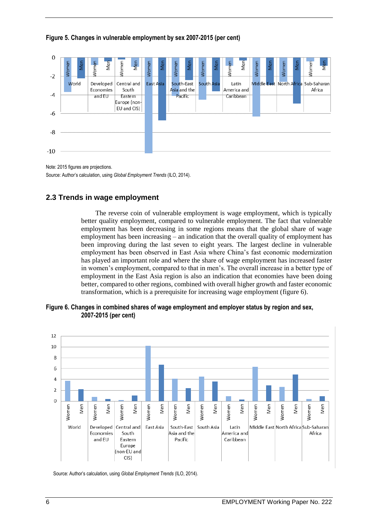

#### <span id="page-18-0"></span>**Figure 5. Changes in vulnerable employment by sex 2007-2015 (per cent)**

Note: 2015 figures are projections. Source: Author's calculation, using *Global Employment Trends* (ILO, 2014).

### **2.3 Trends in wage employment**

The reverse coin of vulnerable employment is wage employment, which is typically better quality employment, compared to vulnerable employment. The fact that vulnerable employment has been decreasing in some regions means that the global share of wage employment has been increasing – an indication that the overall quality of employment has been improving during the last seven to eight years. The largest decline in vulnerable employment has been observed in East Asia where China's fast economic modernization has played an important role and where the share of wage employment has increased faster in women's employment, compared to that in men's. The overall increase in a better type of employment in the East Asia region is also an indication that economies have been doing better, compared to other regions, combined with overall higher growth and faster economic transformation, which is a prerequisite for increasing wage employment (figure 6).

#### <span id="page-18-1"></span>**Figure 6. Changes in combined shares of wage employment and employer status by region and sex, 2007-2015 (per cent)**



Source: Author's calculation, using *Global Employment Trends* (ILO, 2014).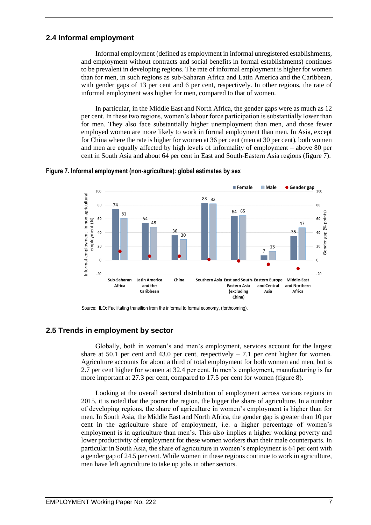### **2.4 Informal employment**

Informal employment (defined as employment in informal unregistered establishments, and employment without contracts and social benefits in formal establishments) continues to be prevalent in developing regions. The rate of informal employment is higher for women than for men, in such regions as sub-Saharan Africa and Latin America and the Caribbean, with gender gaps of 13 per cent and 6 per cent, respectively. In other regions, the rate of informal employment was higher for men, compared to that of women.

In particular, in the Middle East and North Africa, the gender gaps were as much as 12 per cent. In these two regions, women's labour force participation is substantially lower than for men. They also face substantially higher unemployment than men, and those fewer employed women are more likely to work in formal employment than men. In Asia, except for China where the rate is higher for women at 36 per cent (men at 30 per cent), both women and men are equally affected by high levels of informality of employment – above 80 per cent in South Asia and about 64 per cent in East and South-Eastern Asia regions (figure 7).



#### <span id="page-19-0"></span>**Figure 7. Informal employment (non-agriculture): global estimates by sex**

Source: ILO: Facilitating transition from the informal to formal economy, (forthcoming).

### **2.5 Trends in employment by sector**

Globally, both in women's and men's employment, services account for the largest share at 50.1 per cent and 43.0 per cent, respectively  $-7.1$  per cent higher for women. Agriculture accounts for about a third of total employment for both women and men, but is 2.7 per cent higher for women at 32.4 per cent. In men's employment, manufacturing is far more important at 27.3 per cent, compared to 17.5 per cent for women (figure 8).

Looking at the overall sectoral distribution of employment across various regions in 2015, it is noted that the poorer the region, the bigger the share of agriculture. In a number of developing regions, the share of agriculture in women's employment is higher than for men. In South Asia, the Middle East and North Africa, the gender gap is greater than 10 per cent in the agriculture share of employment, i.e. a higher percentage of women's employment is in agriculture than men's. This also implies a higher working poverty and lower productivity of employment for these women workers than their male counterparts. In particular in South Asia, the share of agriculture in women's employment is 64 per cent with a gender gap of 24.5 per cent. While women in these regions continue to work in agriculture, men have left agriculture to take up jobs in other sectors.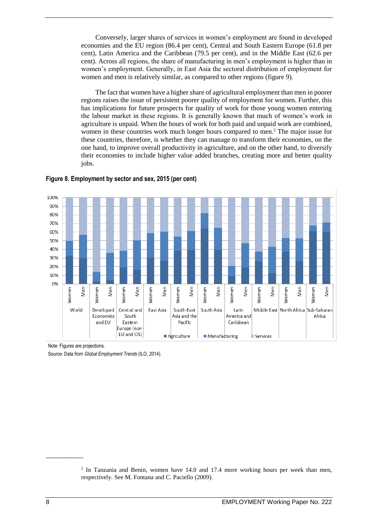Conversely, larger shares of services in women's employment are found in developed economies and the EU region (86.4 per cent), Central and South Eastern Europe (61.8 per cent), Latin America and the Caribbean (79.5 per cent), and in the Middle East (62.6 per cent). Across all regions, the share of manufacturing in men's employment is higher than in women's employment. Generally, in East Asia the sectoral distribution of employment for women and men is relatively similar, as compared to other regions (figure 9).

The fact that women have a higher share of agricultural employment than men in poorer regions raises the issue of persistent poorer quality of employment for women. Further, this has implications for future prospects for quality of work for those young women entering the labour market in these regions. It is generally known that much of women's work in agriculture is unpaid. When the hours of work for both paid and unpaid work are combined, women in these countries work much longer hours compared to men.<sup>2</sup> The major issue for these countries, therefore, is whether they can manage to transform their economies, on the one hand, to improve overall productivity in agriculture, and on the other hand, to diversify their economies to include higher value added branches, creating more and better quality jobs.



#### <span id="page-20-0"></span>**Figure 8. Employment by sector and sex, 2015 (per cent)**

Note: Figures are projections.

Source: Data from *Global Employment Trends* (ILO, 2014).

 $\overline{\phantom{a}}$ 

<sup>&</sup>lt;sup>2</sup> In Tanzania and Benin, women have 14.0 and 17.4 more working hours per week than men, respectively. See M. Fontana and C. Paciello (2009).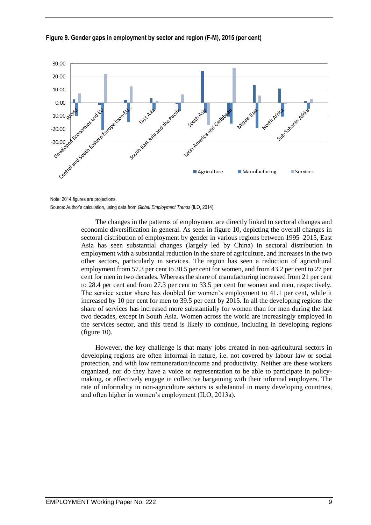

#### <span id="page-21-0"></span>**Figure 9. Gender gaps in employment by sector and region (F-M), 2015 (per cent)**

The changes in the patterns of employment are directly linked to sectoral changes and economic diversification in general. As seen in figure 10, depicting the overall changes in sectoral distribution of employment by gender in various regions between 1995–2015, East Asia has seen substantial changes (largely led by China) in sectoral distribution in employment with a substantial reduction in the share of agriculture, and increases in the two other sectors, particularly in services. The region has seen a reduction of agricultural employment from 57.3 per cent to 30.5 per cent for women, and from 43.2 per cent to 27 per cent for men in two decades. Whereas the share of manufacturing increased from 21 per cent to 28.4 per cent and from 27.3 per cent to 33.5 per cent for women and men, respectively. The service sector share has doubled for women's employment to 41.1 per cent, while it increased by 10 per cent for men to 39.5 per cent by 2015. In all the developing regions the share of services has increased more substantially for women than for men during the last two decades, except in South Asia. Women across the world are increasingly employed in the services sector, and this trend is likely to continue, including in developing regions (figure 10).

However, the key challenge is that many jobs created in non-agricultural sectors in developing regions are often informal in nature, i.e. not covered by labour law or social protection, and with low remuneration/income and productivity. Neither are these workers organized, nor do they have a voice or representation to be able to participate in policymaking, or effectively engage in collective bargaining with their informal employers. The rate of informality in non-agriculture sectors is substantial in many developing countries, and often higher in women's employment (ILO, 2013a).

Note: 2014 figures are projections. Source: Author's calculation, using data from *Global Employment Trends* (ILO, 2014).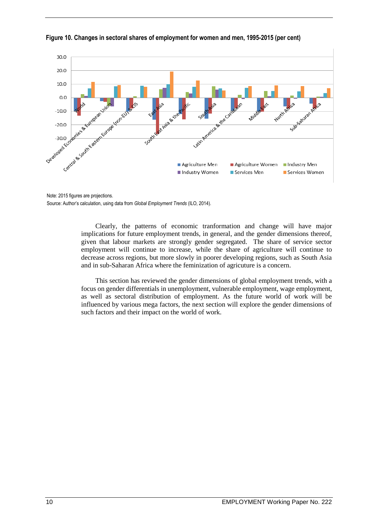

<span id="page-22-0"></span>**Figure 10. Changes in sectoral shares of employment for women and men, 1995-2015 (per cent)**

Note: 2015 figures are projections. Source: Author's calculation, using data from *Global Employment Trends* (ILO, 2014).

> Clearly, the patterns of economic tranformation and change will have major implications for future employment trends, in general, and the gender dimensions thereof, given that labour markets are strongly gender segregated. The share of service sector employment will continue to increase, while the share of agriculture will continue to decrease across regions, but more slowly in poorer developing regions, such as South Asia and in sub-Saharan Africa where the feminization of agricuture is a concern.

> This section has reviewed the gender dimensions of global employment trends, with a focus on gender differentials in unemployment, vulnerable employment, wage employment, as well as sectoral distribution of employment. As the future world of work will be influenced by various mega factors, the next section will explore the gender dimensions of such factors and their impact on the world of work.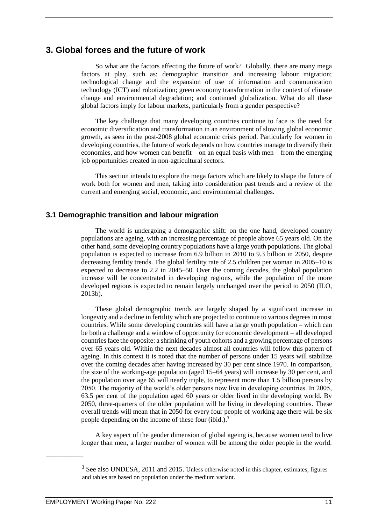### **3. Global forces and the future of work**

So what are the factors affecting the future of work? Globally, there are many mega factors at play, such as: demographic transition and increasing labour migration; technological change and the expansion of use of information and communication technology (ICT) and robotization; green economy transformation in the context of climate change and environmental degradation; and continued globalization. What do all these global factors imply for labour markets, particularly from a gender perspective?

The key challenge that many developing countries continue to face is the need for economic diversification and transformation in an environment of slowing global economic growth, as seen in the post-2008 global economic crisis period. Particularly for women in developing countries, the future of work depends on how countries manage to diversify their economies, and how women can benefit – on an equal basis with men – from the emerging job opportunities created in non-agricultural sectors.

This section intends to explore the mega factors which are likely to shape the future of work both for women and men, taking into consideration past trends and a review of the current and emerging social, economic, and environmental challenges.

#### **3.1 Demographic transition and labour migration**

The world is undergoing a demographic shift: on the one hand, developed country populations are ageing, with an increasing percentage of people above 65 years old. On the other hand, some developing country populations have a large youth populations. The global population is expected to increase from 6.9 billion in 2010 to 9.3 billion in 2050, despite decreasing fertility trends. The global fertility rate of 2.5 children per woman in 2005–10 is expected to decrease to 2.2 in 2045–50. Over the coming decades, the global population increase will be concentrated in developing regions, while the population of the more developed regions is expected to remain largely unchanged over the period to 2050 (ILO, 2013b).

These global demographic trends are largely shaped by a significant increase in longevity and a decline in fertility which are projected to continue to various degrees in most countries. While some developing countries still have a large youth population – which can be both a challenge and a window of opportunity for economic development – all developed countries face the opposite: a shrinking of youth cohorts and a growing percentage of persons over 65 years old. Within the next decades almost all countries will follow this pattern of ageing. In this context it is noted that the number of persons under 15 years will stabilize over the coming decades after having increased by 30 per cent since 1970. In comparison, the size of the working-age population (aged 15–64 years) will increase by 30 per cent, and the population over age 65 will nearly triple, to represent more than 1.5 billion persons by 2050. The majority of the world's older persons now live in developing countries. In 2005, 63.5 per cent of the population aged 60 years or older lived in the developing world. By 2050, three-quarters of the older population will be living in developing countries. These overall trends will mean that in 2050 for every four people of working age there will be six people depending on the income of these four (ibid.).<sup>3</sup>

A key aspect of the gender dimension of global ageing is, because women tend to live longer than men, a larger number of women will be among the older people in the world.

 $\overline{\phantom{a}}$ 

<sup>&</sup>lt;sup>3</sup> See also UNDESA, 2011 and 2015. Unless otherwise noted in this chapter, estimates, figures and tables are based on population under the medium variant.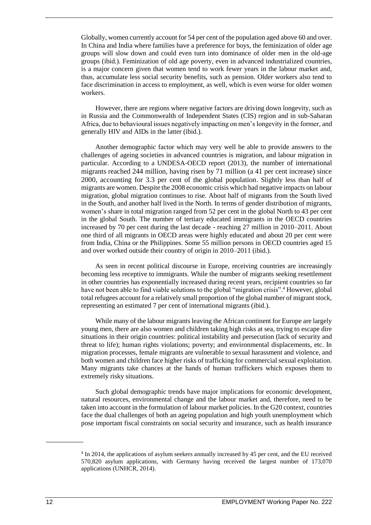Globally, women currently account for 54 per cent of the population aged above 60 and over. In China and India where families have a preference for boys, the feminization of older age groups will slow down and could even turn into dominance of older men in the old-age groups (ibid*.*). Feminization of old age poverty, even in advanced industrialized countries, is a major concern given that women tend to work fewer years in the labour market and, thus, accumulate less social security benefits, such as pension. Older workers also tend to face discrimination in access to employment, as well, which is even worse for older women workers.

However, there are regions where negative factors are driving down longevity, such as in Russia and the Commonwealth of Independent States (CIS) region and in sub-Saharan Africa, due to behavioural issues negatively impacting on men's longevity in the former, and generally HIV and AIDs in the latter (ibid.).

Another demographic factor which may very well be able to provide answers to the challenges of ageing societies in advanced countries is migration, and labour migration in particular. According to a UNDESA-OECD report (2013), the number of international migrants reached 244 million, having risen by 71 million (a 41 per cent increase) since 2000, accounting for 3.3 per cent of the global population. Slightly less than half of migrants are women. Despite the 2008 economic crisis which had negative impacts on labour migration, global migration continues to rise. About half of migrants from the South lived in the South, and another half lived in the North. In terms of gender distribution of migrants, women's share in total migration ranged from 52 per cent in the global North to 43 per cent in the global South. The number of tertiary educated immigrants in the OECD countries increased by 70 per cent during the last decade - reaching 27 million in 2010–2011. About one third of all migrants in OECD areas were highly educated and about 20 per cent were from India, China or the Philippines. Some 55 million persons in OECD countries aged 15 and over worked outside their country of origin in 2010–2011 (ibid.).

As seen in recent political discourse in Europe, receiving countries are increasingly becoming less receptive to immigrants. While the number of migrants seeking resettlement in other countries has exponentially increased during recent years, recipient countries so far have not been able to find viable solutions to the global "migration crisis".<sup>4</sup> However, global total refugees account for a relatively small proportion of the global number of migrant stock, representing an estimated 7 per cent of international migrants (ibid.).

While many of the labour migrants leaving the African continent for Europe are largely young men, there are also women and children taking high risks at sea, trying to escape dire situations in their origin countries: political instability and persecution (lack of security and threat to life); human rights violations; poverty; and environmental displacements, etc. In migration processes, female migrants are vulnerable to sexual harassment and violence, and both women and children face higher risks of trafficking for commercial sexual exploitation. Many migrants take chances at the hands of human traffickers which exposes them to extremely risky situations.

Such global demographic trends have major implications for economic development, natural resources, environmental change and the labour market and, therefore, need to be taken into account in the formulation of labour market policies. In the G20 context, countries face the dual challenges of both an ageing population and high youth unemployment which pose important fiscal constraints on social security and insurance, such as health insurance

<sup>4</sup> In 2014, the applications of asylum seekers annually increased by 45 per cent, and the EU received 570,820 asylum applications, with Germany having received the largest number of 173,070 applications (UNHCR, 2014).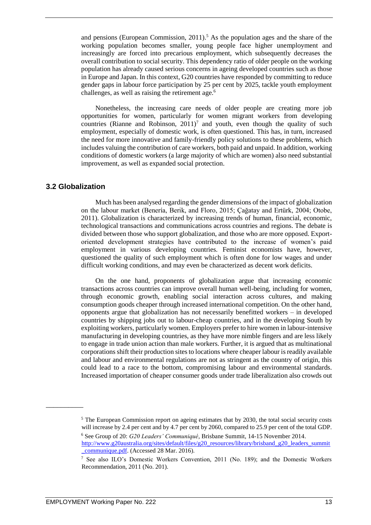and pensions (European Commission,  $2011$ ).<sup>5</sup> As the population ages and the share of the working population becomes smaller, young people face higher unemployment and increasingly are forced into precarious employment, which subsequently decreases the overall contribution to social security. This dependency ratio of older people on the working population has already caused serious concerns in ageing developed countries such as those in Europe and Japan. In this context, G20 countries have responded by committing to reduce gender gaps in labour force participation by 25 per cent by 2025, tackle youth employment challenges, as well as raising the retirement age.<sup>6</sup>

Nonetheless, the increasing care needs of older people are creating more job opportunities for women, particularly for women migrant workers from developing countries (Rianne and Robinson,  $2011$ )<sup>7</sup> and youth, even though the quality of such employment, especially of domestic work, is often questioned. This has, in turn, increased the need for more innovative and family-friendly policy solutions to these problems, which includes valuing the contribution of care workers, both paid and unpaid. In addition, working conditions of domestic workers (a large majority of which are women) also need substantial improvement, as well as expanded social protection.

#### **3.2 Globalization**

\_\_\_\_\_\_\_\_\_\_

Much has been analysed regarding the gender dimensions of the impact of globalization on the labour market (Benería, Berik, and Floro, 2015; Çağatay and Ertürk, 2004; Otobe, 2011). Globalization is characterized by increasing trends of human, financial, economic, technological transactions and communications across countries and regions. The debate is divided between those who support globalization, and those who are more opposed. Exportoriented development strategies have contributed to the increase of women's paid employment in various developing countries. Feminist economists have, however, questioned the quality of such employment which is often done for low wages and under difficult working conditions, and may even be characterized as decent work deficits.

On the one hand, proponents of globalization argue that increasing economic transactions across countries can improve overall human well-being, including for women, through economic growth, enabling social interaction across cultures, and making consumption goods cheaper through increased international competition. On the other hand, opponents argue that globalization has not necessarily benefitted workers – in developed countries by shipping jobs out to labour-cheap countries, and in the developing South by exploiting workers, particularly women. Employers prefer to hire women in labour-intensive manufacturing in developing countries, as they have more nimble fingers and are less likely to engage in trade union action than male workers. Further, it is argued that as multinational corporations shift their production sites to locations where cheaper labour is readily available and labour and environmental regulations are not as stringent as the country of origin, this could lead to a race to the bottom, compromising labour and environmental standards. Increased importation of cheaper consumer goods under trade liberalization also crowds out

<sup>&</sup>lt;sup>5</sup> The European Commission report on ageing estimates that by 2030, the total social security costs will increase by 2.4 per cent and by 4.7 per cent by 2060, compared to 25.9 per cent of the total GDP.

<sup>6</sup> See Group of 20: *G20 Leaders' Communiqué,* Brisbane Summit, 14-15 November 2014. [http://www.g20australia.org/sites/default/files/g20\\_resources/library/brisband\\_g20\\_leaders\\_summit](http://www.g20australia.org/sites/default/files/g20_resources/library/brisband_g20_leaders_summit_communique.pdf) [\\_communique.pdf.](http://www.g20australia.org/sites/default/files/g20_resources/library/brisband_g20_leaders_summit_communique.pdf) (Accessed 28 Mar. 2016).

<sup>7</sup> See also ILO's Domestic Workers Convention, 2011 (No. 189); and the Domestic Workers Recommendation, 2011 (No. 201).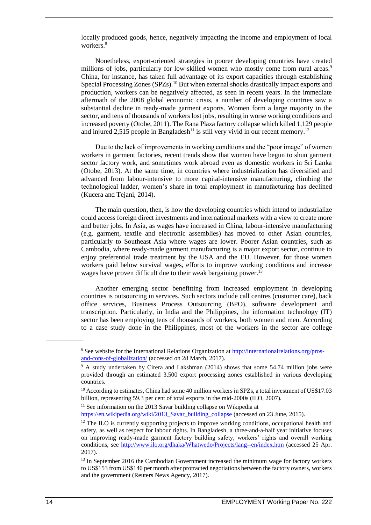locally produced goods, hence, negatively impacting the income and employment of local workers.<sup>8</sup>

Nonetheless, export-oriented strategies in poorer developing countries have created millions of jobs, particularly for low-skilled women who mostly come from rural areas.<sup>9</sup> China, for instance, has taken full advantage of its export capacities through establishing Special Processing Zones (SPZs).<sup>10</sup> But when external shocks drastically impact exports and production, workers can be negatively affected, as seen in recent years. In the immediate aftermath of the 2008 global economic crisis, a number of developing countries saw a substantial decline in ready-made garment exports. Women form a large majority in the sector, and tens of thousands of workers lost jobs, resulting in worse working conditions and increased poverty (Otobe, 2011). The Rana Plaza factory collapse which killed 1,129 people and injured 2,515 people in Bangladesh<sup>11</sup> is still very vivid in our recent memory.<sup>12</sup>

Due to the lack of improvements in working conditions and the "poor image" of women workers in garment factories, recent trends show that women have begun to shun garment sector factory work, and sometimes work abroad even as domestic workers in Sri Lanka (Otobe, 2013). At the same time, in countries where industrialization has diversified and advanced from labour-intensive to more capital-intensive manufacturing, climbing the technological ladder, women's share in total employment in manufacturing has declined (Kucera and Tejani, 2014).

The main question, then, is how the developing countries which intend to industrialize could access foreign direct investments and international markets with a view to create more and better jobs. In Asia, as wages have increased in China, labour-intensive manufacturing (e.g. garment, textile and electronic assemblies) has moved to other Asian countries, particularly to Southeast Asia where wages are lower. Poorer Asian countries, such as Cambodia, where ready-made garment manufacturing is a major export sector, continue to enjoy preferential trade treatment by the USA and the EU. However, for those women workers paid below survival wages, efforts to improve working conditions and increase wages have proven difficult due to their weak bargaining power.<sup>1</sup>

Another emerging sector benefitting from increased employment in developing countries is outsourcing in services. Such sectors include call centres (customer care), back office services, Business Process Outsourcing (BPO), software development and transcription. Particularly, in India and the Philippines, the information technology (IT) sector has been employing tens of thousands of workers, both women and men. According to a case study done in the Philippines, most of the workers in the sector are college

 $11$  See information on the 2013 Savar building collapse on Wikipedia at

[https://en.wikipedia.org/wiki/2013\\_Savar\\_building\\_collapse](https://en.wikipedia.org/wiki/2013_Savar_building_collapse) (accessed on 23 June, 2015).

<sup>8</sup> See website for the International Relations Organization a[t http://internationalrelations.org/pros](http://internationalrelations.org/pros-and-cons-of-globalization/)[and-cons-of-globalization/](http://internationalrelations.org/pros-and-cons-of-globalization/) (accessed on 28 March, 2017).

<sup>9</sup> A study undertaken by Cirera and Lakshman (2014) shows that some 54.74 million jobs were provided through an estimated 3,500 export processing zones established in various developing countries.

<sup>&</sup>lt;sup>10</sup> According to estimates, China had some 40 million workers in SPZs, a total investment of US\$17.03 billion, representing 59.3 per cent of total exports in the mid-2000s (ILO, 2007).

 $12$  The ILO is currently supporting projects to improve working conditions, occupational health and safety, as well as respect for labour rights. In Bangladesh, a three-and-a-half year initiative focuses on improving ready-made garment factory building safety, workers' rights and overall working conditions, see<http://www.ilo.org/dhaka/Whatwedo/Projects/lang--en/index.htm> (accessed 25 Apr. 2017).

<sup>&</sup>lt;sup>13</sup> In September 2016 the Cambodian Government increased the minimum wage for factory workers to US\$153 from US\$140 per month after protracted negotiations between the factory owners, workers and the government (Reuters News Agency, 2017).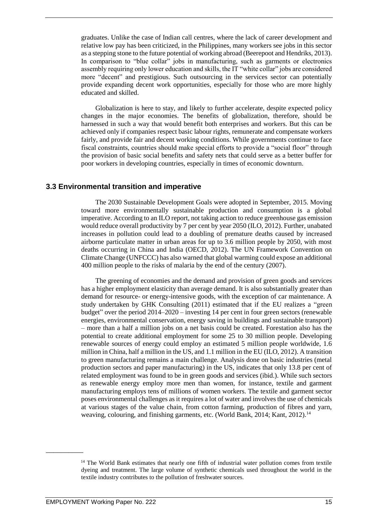graduates. Unlike the case of Indian call centres, where the lack of career development and relative low pay has been criticized, in the Philippines, many workers see jobs in this sector as a stepping stone to the future potential of working abroad (Beerepoot and Hendriks, 2013). In comparison to "blue collar" jobs in manufacturing, such as garments or electronics assembly requiring only lower education and skills, the IT "white collar" jobs are considered more "decent" and prestigious. Such outsourcing in the services sector can potentially provide expanding decent work opportunities, especially for those who are more highly educated and skilled.

Globalization is here to stay, and likely to further accelerate, despite expected policy changes in the major economies. The benefits of globalization, therefore, should be harnessed in such a way that would benefit both enterprises and workers. But this can be achieved only if companies respect basic labour rights, remunerate and compensate workers fairly, and provide fair and decent working conditions. While governments continue to face fiscal constraints, countries should make special efforts to provide a "social floor" through the provision of basic social benefits and safety nets that could serve as a better buffer for poor workers in developing countries, especially in times of economic downturn.

#### **3.3 Environmental transition and imperative**

The 2030 Sustainable Development Goals were adopted in September, 2015. Moving toward more environmentally sustainable production and consumption is a global imperative. According to an ILO report, not taking action to reduce greenhouse gas emission would reduce overall productivity by 7 per cent by year 2050 (ILO, 2012). Further, unabated increases in pollution could lead to a doubling of premature deaths caused by increased airborne particulate matter in urban areas for up to 3.6 million people by 2050, with most deaths occurring in China and India (OECD, 2012). The UN Framework Convention on Climate Change (UNFCCC) has also warned that global warming could expose an additional 400 million people to the risks of malaria by the end of the century (2007).

The greening of economies and the demand and provision of green goods and services has a higher employment elasticity than average demand. It is also substantially greater than demand for resource- or energy-intensive goods, with the exception of car maintenance. A study undertaken by GHK Consulting (2011) estimated that if the EU realizes a "green budget" over the period 2014–2020 – investing 14 per cent in four green sectors (renewable energies, environmental conservation, energy saving in buildings and sustainable transport) – more than a half a million jobs on a net basis could be created. Forestation also has the potential to create additional employment for some 25 to 30 million people. Developing renewable sources of energy could employ an estimated 5 million people worldwide, 1.6 million in China, half a million in the US, and 1.1 million in the EU (ILO, 2012). A transition to green manufacturing remains a main challenge. Analysis done on basic industries (metal production sectors and paper manufacturing) in the US, indicates that only 13.8 per cent of related employment was found to be in green goods and services (ibid.). While such sectors as renewable energy employ more men than women, for instance, textile and garment manufacturing employs tens of millions of women workers. The textile and garment sector poses environmental challenges as it requires a lot of water and involves the use of chemicals at various stages of the value chain, from cotton farming, production of fibres and yarn, weaving, colouring, and finishing garments, etc. (World Bank, 2014; Kant, 2012).<sup>14</sup>

<sup>&</sup>lt;sup>14</sup> The World Bank estimates that nearly one fifth of industrial water pollution comes from textile dyeing and treatment. The large volume of synthetic chemicals used throughout the world in the textile industry contributes to the pollution of freshwater sources.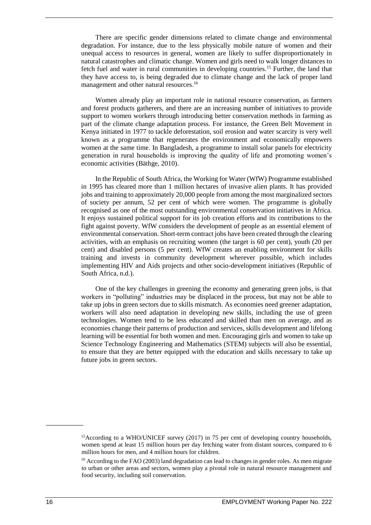There are specific gender dimensions related to climate change and environmental degradation. For instance, due to the less physically mobile nature of women and their unequal access to resources in general, women are likely to suffer disproportionately in natural catastrophes and climatic change. Women and girls need to walk longer distances to fetch fuel and water in rural communities in developing countries.<sup>15</sup> Further, the land that they have access to, is being degraded due to climate change and the lack of proper land management and other natural resources.<sup>16</sup>

Women already play an important role in national resource conservation, as farmers and forest products gatherers, and there are an increasing number of initiatives to provide support to women workers through introducing better conservation methods in farming as part of the climate change adaptation process. For instance, the Green Belt Movement in Kenya initiated in 1977 to tackle deforestation, soil erosion and water scarcity is very well known as a programme that regenerates the environment and economically empowers women at the same time. In Bangladesh, a programme to install solar panels for electricity generation in rural households is improving the quality of life and promoting women's economic activities (Bäthge, 2010).

In the Republic of South Africa, the Working for Water (WfW) Programme established in 1995 has cleared more than 1 million hectares of invasive alien plants. It has provided jobs and training to approximately 20,000 people from among the most marginalized sectors of society per annum, 52 per cent of which were women. The programme is globally recognised as one of the most outstanding environmental conservation initiatives in Africa. It enjoys sustained political support for its job creation efforts and its contributions to the fight against poverty. WfW considers the development of people as an essential element of environmental conservation. Short-term contract jobs have been created through the clearing activities, with an emphasis on recruiting women (the target is 60 per cent), youth (20 per cent) and disabled persons (5 per cent). WfW creates an enabling environment for skills training and invests in community development wherever possible, which includes implementing HIV and Aids projects and other socio-development initiatives (Republic of South Africa, n.d.).

One of the key challenges in greening the economy and generating green jobs, is that workers in "polluting" industries may be displaced in the process, but may not be able to take up jobs in green sectors due to skills mismatch. As economies need greener adaptation, workers will also need adaptation in developing new skills, including the use of green technologies. Women tend to be less educated and skilled than men on average, and as economies change their patterns of production and services, skills development and lifelong learning will be essential for both women and men. Encouraging girls and women to take up Science Technology Engineering and Mathematics (STEM) subjects will also be essential, to ensure that they are better equipped with the education and skills necessary to take up future jobs in green sectors.

<sup>&</sup>lt;sup>15</sup>According to a WHO/UNICEF survey (2017) in 75 per cent of developing country households, women spend at least 15 million hours per day fetching water from distant sources, compared to 6 million hours for men, and 4 million hours for children.

<sup>&</sup>lt;sup>16</sup> According to the FAO (2003) land degradation can lead to changes in gender roles. As men migrate to urban or other areas and sectors, women play a pivotal role in natural resource management and food security, including soil conservation.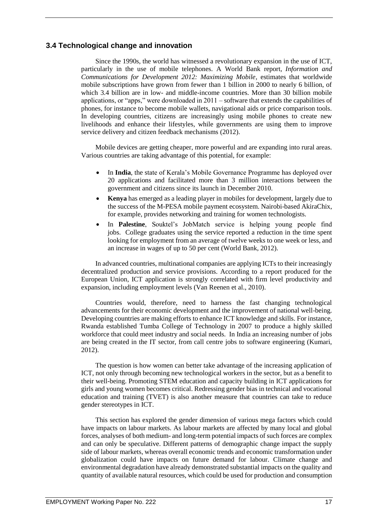#### **3.4 Technological change and innovation**

Since the 1990s, the world has witnessed a revolutionary expansion in the use of ICT, particularly in the use of mobile telephones. A World Bank report, *Information and Communications for Development 2012: Maximizing Mobile,* estimates that worldwide mobile subscriptions have grown from fewer than 1 billion in 2000 to nearly 6 billion, of which 3.4 billion are in low- and middle-income countries. More than 30 billion mobile applications, or "apps," were downloaded in 2011 – software that extends the capabilities of phones, for instance to become mobile wallets, navigational aids or price comparison tools. In developing countries, citizens are increasingly using mobile phones to create new livelihoods and enhance their lifestyles, while governments are using them to improve service delivery and citizen feedback mechanisms (2012).

Mobile devices are getting cheaper, more powerful and are expanding into rural areas. Various countries are taking advantage of this potential, for example:

- In **India**, the state of Kerala's Mobile Governance Programme has deployed over 20 applications and facilitated more than 3 million interactions between the government and citizens since its launch in December 2010.
- **Kenya** has emerged as a leading player in mobiles for development, largely due to the success of the M-PESA mobile payment ecosystem. Nairobi-based AkiraChix, for example, provides networking and training for women technologists.
- In **Palestine**, Souktel's JobMatch service is helping young people find jobs. College graduates using the service reported a reduction in the time spent looking for employment from an average of twelve weeks to one week or less, and an increase in wages of up to 50 per cent (World Bank, 2012).

In advanced countries, multinational companies are applying ICTs to their increasingly decentralized production and service provisions. According to a report produced for the European Union, ICT application is strongly correlated with firm level productivity and expansion, including employment levels (Van Reenen et al., 2010).

Countries would, therefore, need to harness the fast changing technological advancements for their economic development and the improvement of national well-being. Developing countries are making efforts to enhance ICT knowledge and skills. For instance, Rwanda established Tumba College of Technology in 2007 to produce a highly skilled workforce that could meet industry and social needs. In India an increasing number of jobs are being created in the IT sector, from call centre jobs to software engineering (Kumari, 2012).

The question is how women can better take advantage of the increasing application of ICT, not only through becoming new technological workers in the sector, but as a benefit to their well-being. Promoting STEM education and capacity building in ICT applications for girls and young women becomes critical. Redressing gender bias in technical and vocational education and training (TVET) is also another measure that countries can take to reduce gender stereotypes in ICT.

This section has explored the gender dimension of various mega factors which could have impacts on labour markets. As labour markets are affected by many local and global forces, analyses of both medium- and long-term potential impacts of such forces are complex and can only be speculative. Different patterns of demographic change impact the supply side of labour markets, whereas overall economic trends and economic transformation under globalization could have impacts on future demand for labour. Climate change and environmental degradation have already demonstrated substantial impacts on the quality and quantity of available natural resources, which could be used for production and consumption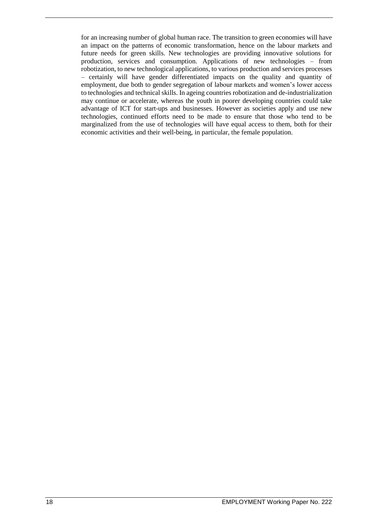for an increasing number of global human race. The transition to green economies will have an impact on the patterns of economic transformation, hence on the labour markets and future needs for green skills. New technologies are providing innovative solutions for production, services and consumption. Applications of new technologies – from robotization, to new technological applications, to various production and services processes – certainly will have gender differentiated impacts on the quality and quantity of employment, due both to gender segregation of labour markets and women's lower access to technologies and technical skills. In ageing countries robotization and de-industrialization may continue or accelerate, whereas the youth in poorer developing countries could take advantage of ICT for start-ups and businesses. However as societies apply and use new technologies, continued efforts need to be made to ensure that those who tend to be marginalized from the use of technologies will have equal access to them, both for their economic activities and their well-being, in particular, the female population.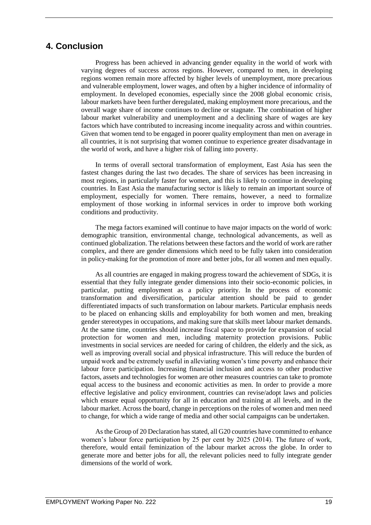### **4. Conclusion**

Progress has been achieved in advancing gender equality in the world of work with varying degrees of success across regions. However, compared to men, in developing regions women remain more affected by higher levels of unemployment, more precarious and vulnerable employment, lower wages, and often by a higher incidence of informality of employment. In developed economies, especially since the 2008 global economic crisis, labour markets have been further deregulated, making employment more precarious, and the overall wage share of income continues to decline or stagnate. The combination of higher labour market vulnerability and unemployment and a declining share of wages are key factors which have contributed to increasing income inequality across and within countries. Given that women tend to be engaged in poorer quality employment than men on average in all countries, it is not surprising that women continue to experience greater disadvantage in the world of work, and have a higher risk of falling into poverty.

In terms of overall sectoral transformation of employment, East Asia has seen the fastest changes during the last two decades. The share of services has been increasing in most regions, in particularly faster for women, and this is likely to continue in developing countries. In East Asia the manufacturing sector is likely to remain an important source of employment, especially for women. There remains, however, a need to formalize employment of those working in informal services in order to improve both working conditions and productivity.

The mega factors examined will continue to have major impacts on the world of work: demographic transition, environmental change, technological advancements, as well as continued globalization. The relations between these factors and the world of work are rather complex, and there are gender dimensions which need to be fully taken into consideration in policy-making for the promotion of more and better jobs, for all women and men equally.

As all countries are engaged in making progress toward the achievement of SDGs, it is essential that they fully integrate gender dimensions into their socio-economic policies, in particular, putting employment as a policy priority. In the process of economic transformation and diversification, particular attention should be paid to gender differentiated impacts of such transformation on labour markets. Particular emphasis needs to be placed on enhancing skills and employability for both women and men, breaking gender stereotypes in occupations, and making sure that skills meet labour market demands. At the same time, countries should increase fiscal space to provide for expansion of social protection for women and men, including maternity protection provisions. Public investments in social services are needed for caring of children, the elderly and the sick, as well as improving overall social and physical infrastructure. This will reduce the burden of unpaid work and be extremely useful in alleviating women's time poverty and enhance their labour force participation. Increasing financial inclusion and access to other productive factors, assets and technologies for women are other measures countries can take to promote equal access to the business and economic activities as men. In order to provide a more effective legislative and policy environment, countries can revise/adopt laws and policies which ensure equal opportunity for all in education and training at all levels, and in the labour market. Across the board, change in perceptions on the roles of women and men need to change, for which a wide range of media and other social campaigns can be undertaken.

As the Group of 20 Declaration has stated, all G20 countries have committed to enhance women's labour force participation by 25 per cent by 2025 (2014). The future of work, therefore, would entail feminization of the labour market across the globe. In order to generate more and better jobs for all, the relevant policies need to fully integrate gender dimensions of the world of work.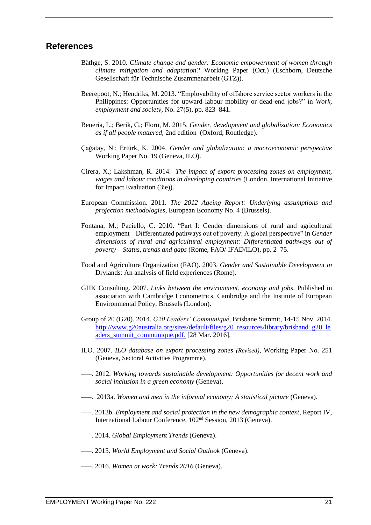### **References**

- Bäthge, S. 2010. *Climate change and gender: Economic empowerment of women through climate mitigation and adaptation?* Working Paper (Oct.) (Eschborn, Deutsche Gesellschaft für Technische Zusammenarbeit (GTZ)).
- Beerepoot, N.; Hendriks, M. 2013. "Employability of offshore service sector workers in the Philippines: Opportunities for upward labour mobility or dead-end jobs?" in *Work, employment and society,* No. 27(5), pp. 823–841.
- Benería, L.; Berik, G.; Floro, M. 2015. *Gender, development and globalization: Economics as if all people mattered,* 2nd edition (Oxford, Routledge).
- Çağatay, N.; Ertürk, K. 2004. *Gender and globalization: a macroeconomic perspective* Working Paper No. 19 (Geneva, ILO).
- Cirera, X.; Lakshman, R. 2014. *The impact of export processing zones on employment, wages and labour conditions in developing countries* (London, International Initiative for Impact Evaluation (3ie)).
- European Commission. 2011. *The 2012 Ageing Report: Underlying assumptions and projection methodologies*, European Economy No. 4 (Brussels).
- Fontana, M.; Paciello, C. 2010. "Part I: Gender dimensions of rural and agricultural employment – Differentiated pathways out of poverty: A global perspective" in *Gender dimensions of rural and agricultural employment: Differentiated pathways out of poverty* – *Status, trends and gaps* (Rome, FAO/ IFAD/ILO), pp. 2–75.
- Food and Agriculture Organization (FAO). 2003. *Gender and Sustainable Development in*  Drylands: An analysis of field experiences (Rome).
- GHK Consulting. 2007. *Links between the environment, economy and jobs*. Published in association with Cambridge Econometrics, Cambridge and the Institute of European Environmental Policy, Brussels (London).
- Group of 20 (G20). 2014. *G20 Leaders' Communiqué,* Brisbane Summit, 14-15 Nov. 2014. [http://www.g20australia.org/sites/default/files/g20\\_resources/library/brisband\\_g20\\_le](http://www.g20australia.org/sites/default/files/g20_resources/library/brisband_g20_leaders_summit_communique.pdf) [aders\\_summit\\_communique.pdf.](http://www.g20australia.org/sites/default/files/g20_resources/library/brisband_g20_leaders_summit_communique.pdf) [28 Mar. 2016].
- ILO. 2007. *ILO database on export processing zones (Revised)*, Working Paper No. 251 (Geneva, Sectoral Activities Programme).
- —–. 2012. *Working towards sustainable development: Opportunities for decent work and social inclusion in a green economy* (Geneva).
- —–. 2013a. *Women and men in the informal economy: A statistical picture* (Geneva).
- —–. 2013b. *Employment and social protection in the new demographic context*, Report IV, International Labour Conference, 102nd Session, 2013 (Geneva).
- —–. 2014. *Global Employment Trends* (Geneva).
- —–. 2015. *World Employment and Social Outlook* (Geneva).
- —–. 2016. *Women at work: Trends 2016* (Geneva).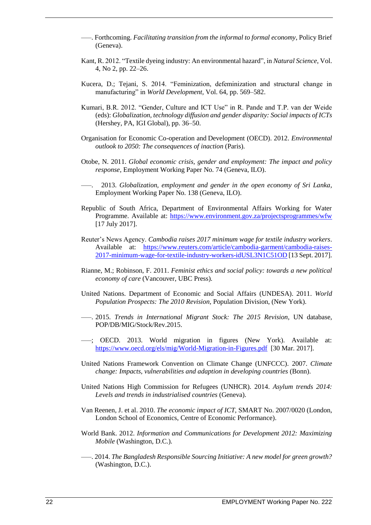- —–. Forthcoming. *Facilitating transition from the informal to formal economy*, Policy Brief (Geneva).
- Kant, R. 2012. "Textile dyeing industry: An environmental hazard", in *Natural Science*, Vol. 4, No 2, pp. 22–26.
- Kucera, D.; Tejani, S. 2014. "Feminization, defeminization and structural change in manufacturing" in *World Development,* Vol. 64, pp. 569–582.
- Kumari, B.R. 2012. "Gender, Culture and ICT Use" in R. Pande and T.P. van der Weide (eds): *Globalization, technology diffusion and gender disparity: Social impacts of ICTs* (Hershey, PA, IGI Global), pp. 36–50.
- Organisation for Economic Co-operation and Development (OECD). 2012. *Environmental outlook to 2050: The consequences of inaction* (Paris)*.*
- Otobe, N. 2011. *Global economic crisis, gender and employment: The impact and policy response,* Employment Working Paper No. 74 (Geneva, ILO).
	- —–. 2013. *Globalization, employment and gender in the open economy of Sri Lanka,* Employment Working Paper No. 138 (Geneva, ILO).
- Republic of South Africa, Department of Environmental Affairs Working for Water Programme. Available at:<https://www.environment.gov.za/projectsprogrammes/wfw> [17 July 2017].
- Reuter's News Agency. *Cambodia raises 2017 minimum wage for textile industry workers*. Available at: [https://www.reuters.com/article/cambodia-garment/cambodia-raises-](https://www.reuters.com/article/cambodia-garment/cambodia-raises-2017-minimum-wage-for-textile-industry-workers-idUSL3N1C51OD)[2017-minimum-wage-for-textile-industry-workers-idUSL3N1C51OD](https://www.reuters.com/article/cambodia-garment/cambodia-raises-2017-minimum-wage-for-textile-industry-workers-idUSL3N1C51OD) [13 Sept. 2017].
- Rianne, M.; Robinson, F. 2011. *Feminist ethics and social policy: towards a new political economy of care* (Vancouver, UBC Press).
- United Nations. Department of Economic and Social Affairs (UNDESA). 2011. *World Population Prospects: The 2010 Revision,* Population Division, (New York).
- —–. 2015. *Trends in International Migrant Stock: The 2015 Revision*, UN database, POP/DB/MIG/Stock/Rev.2015.
- —–; OECD. 2013. World migration in figures (New York). Available at: <https://www.oecd.org/els/mig/World-Migration-in-Figures.pdf>[30 Mar. 2017].
- United Nations Framework Convention on Climate Change (UNFCCC). 2007. *Climate change: Impacts, vulnerabilities and adaption in developing countries* (Bonn).
- United Nations High Commission for Refugees (UNHCR). 2014. *Asylum trends 2014: Levels and trends in industrialised countries* (Geneva).
- Van Reenen, J. et al. 2010. *The economic impact of ICT,* SMART No. 2007/0020 (London, London School of Economics, Centre of Economic Performance).
- World Bank. 2012. *Information and Communications for Development 2012: Maximizing Mobile* (Washington, D.C.).
- —–. 2014. *The Bangladesh Responsible Sourcing Initiative: A new model for green growth?*  (Washington, D.C.).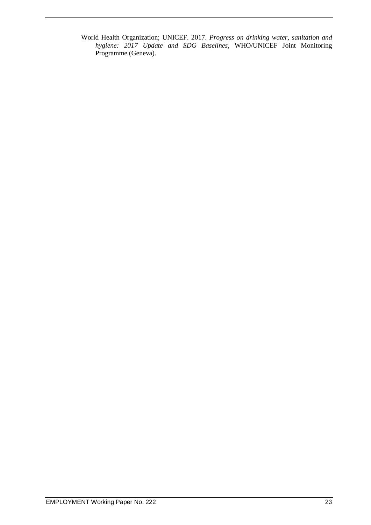World Health Organization; UNICEF. 2017. *Progress on drinking water, sanitation and hygiene: 2017 Update and SDG Baselines*, WHO/UNICEF Joint Monitoring Programme (Geneva).